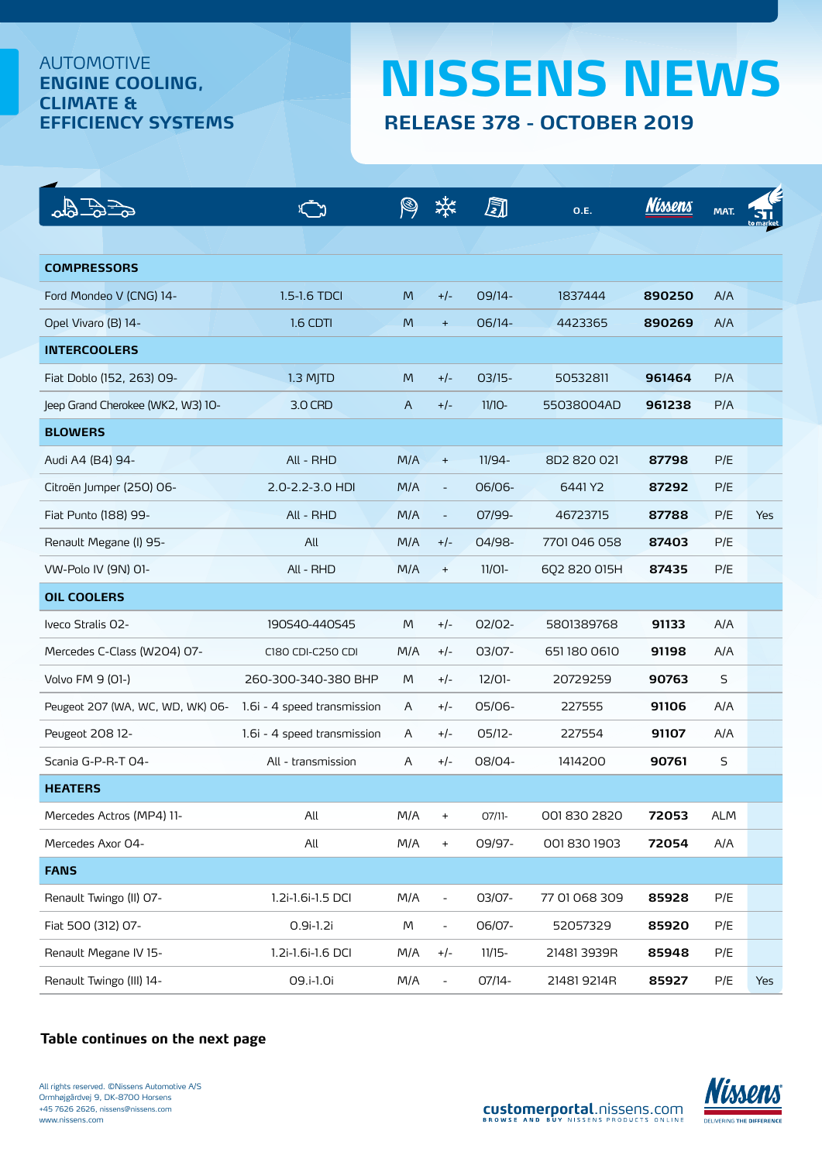## AUTOMOTIVE **ENGINE COOLING, CLIMATE &**

## **EFFICIENCY SYSTEMS RELEASE 378 - OCTOBER 2019 NISSENS NEWS**

|                                   |                             |     |                          | ā         | <b>O.E.</b>   | <b>Nissens</b> | MAT.       |            |
|-----------------------------------|-----------------------------|-----|--------------------------|-----------|---------------|----------------|------------|------------|
|                                   |                             |     |                          |           |               |                |            |            |
| <b>COMPRESSORS</b>                |                             |     |                          |           |               |                |            |            |
| Ford Mondeo V (CNG) 14-           | 1.5-1.6 TDCI                | M   | $+/-$                    | 09/14-    | 1837444       | 890250         | A/A        |            |
| Opel Vivaro (B) 14-               | 1.6 CDTI                    | M   | $+$                      | 06/14-    | 4423365       | 890269         | A/A        |            |
| <b>INTERCOOLERS</b>               |                             |     |                          |           |               |                |            |            |
| Fiat Doblo (152, 263) 09-         | 1.3 MJTD                    | M   | $+/-$                    | $03/15-$  | 50532811      | 961464         | P/A        |            |
| Jeep Grand Cherokee (WK2, W3) 10- | 3.0 CRD                     | A   | $+/-$                    | $11/10-$  | 55038004AD    | 961238         | P/A        |            |
| <b>BLOWERS</b>                    |                             |     |                          |           |               |                |            |            |
| Audi A4 (B4) 94-                  | All - RHD                   | M/A | $+$                      | 11/94-    | 8D2 820 021   | 87798          | P/E        |            |
| Citroën Jumper (250) 06-          | 2.0-2.2-3.0 HDI             | M/A | $\overline{\phantom{a}}$ | 06/06-    | 6441 Y2       | 87292          | P/E        |            |
| Fiat Punto (188) 99-              | All - RHD                   | M/A | $\overline{\phantom{a}}$ | 07/99-    | 46723715      | 87788          | P/E        | <b>Yes</b> |
| Renault Megane (I) 95-            | All                         | M/A | $+/-$                    | 04/98-    | 7701046058    | 87403          | P/E        |            |
| VW-Polo IV (9N) 01-               | All - RHD                   | M/A | $\ddot{}$                | $11/01 -$ | 602 820 015H  | 87435          | P/E        |            |
| <b>OIL COOLERS</b>                |                             |     |                          |           |               |                |            |            |
| Iveco Stralis O2-                 | 190S40-440S45               | M   | $+/-$                    | 02/02-    | 5801389768    | 91133          | A/A        |            |
| Mercedes C-Class (W2O4) 07-       | C180 CDI-C250 CDI           | M/A | $+/-$                    | 03/07-    | 6511800610    | 91198          | A/A        |            |
| Volvo FM 9 (01-)                  | 260-300-340-380 BHP         | M   | $+/-$                    | $12/01 -$ | 20729259      | 90763          | S          |            |
| Peugeot 207 (WA, WC, WD, WK) 06-  | 1.6i - 4 speed transmission | A   | $+/-$                    | 05/06-    | 227555        | 91106          | A/A        |            |
| Peugeot 208 12-                   | 1.6i - 4 speed transmission | A   | $+/-$                    | $05/12-$  | 227554        | 91107          | A/A        |            |
| Scania G-P-R-T 04-                | All - transmission          | A   | $+/-$                    | 08/04-    | 1414200       | 90761          | $\sf S$    |            |
| <b>HEATERS</b>                    |                             |     |                          |           |               |                |            |            |
| Mercedes Actros (MP4) 11-         | All                         | M/A | $\ddot{}$                | 07/11-    | 0018302820    | 72053          | <b>ALM</b> |            |
| Mercedes Axor 04-                 | All                         | M/A | $\boldsymbol{+}$         | 09/97-    | 0018301903    | 72054          | A/A        |            |
| <b>FANS</b>                       |                             |     |                          |           |               |                |            |            |
| Renault Twingo (II) O7-           | 1.2i-1.6i-1.5 DCI           | M/A | $\overline{\phantom{a}}$ | 03/07-    | 77 01 068 309 | 85928          | P/E        |            |
| Fiat 500 (312) 07-                | $0.9i-1.2i$                 | M   | $\blacksquare$           | 06/07-    | 52057329      | 85920          | P/E        |            |
| Renault Megane IV 15-             | 1.2i-1.6i-1.6 DCI           | M/A | $+/-$                    | $11/15-$  | 21481 3939R   | 85948          | P/E        |            |
| Renault Twingo (III) 14-          | 09.i-1.0i                   | M/A | $\blacksquare$           | 07/14-    | 21481 9214R   | 85927          | P/E        | Yes        |

## **[Table continues on the next page](#page-1-0)**